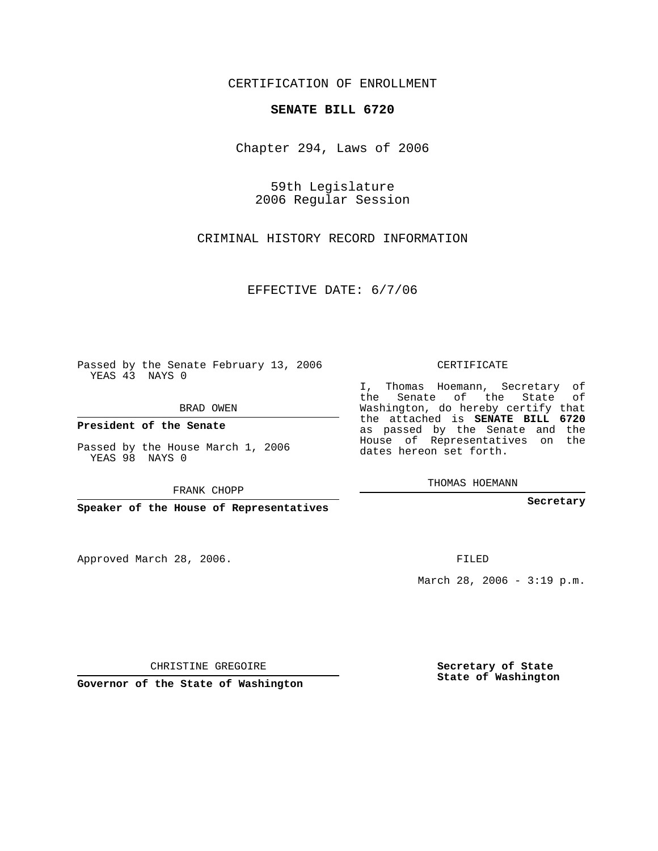CERTIFICATION OF ENROLLMENT

## **SENATE BILL 6720**

Chapter 294, Laws of 2006

59th Legislature 2006 Regular Session

CRIMINAL HISTORY RECORD INFORMATION

EFFECTIVE DATE: 6/7/06

Passed by the Senate February 13, 2006 YEAS 43 NAYS 0

BRAD OWEN

**President of the Senate**

Passed by the House March 1, 2006 YEAS 98 NAYS 0

FRANK CHOPP

**Speaker of the House of Representatives**

Approved March 28, 2006.

CERTIFICATE

I, Thomas Hoemann, Secretary of the Senate of the State of Washington, do hereby certify that the attached is **SENATE BILL 6720** as passed by the Senate and the House of Representatives on the dates hereon set forth.

THOMAS HOEMANN

**Secretary**

FILED

March 28, 2006 - 3:19 p.m.

CHRISTINE GREGOIRE

**Governor of the State of Washington**

**Secretary of State State of Washington**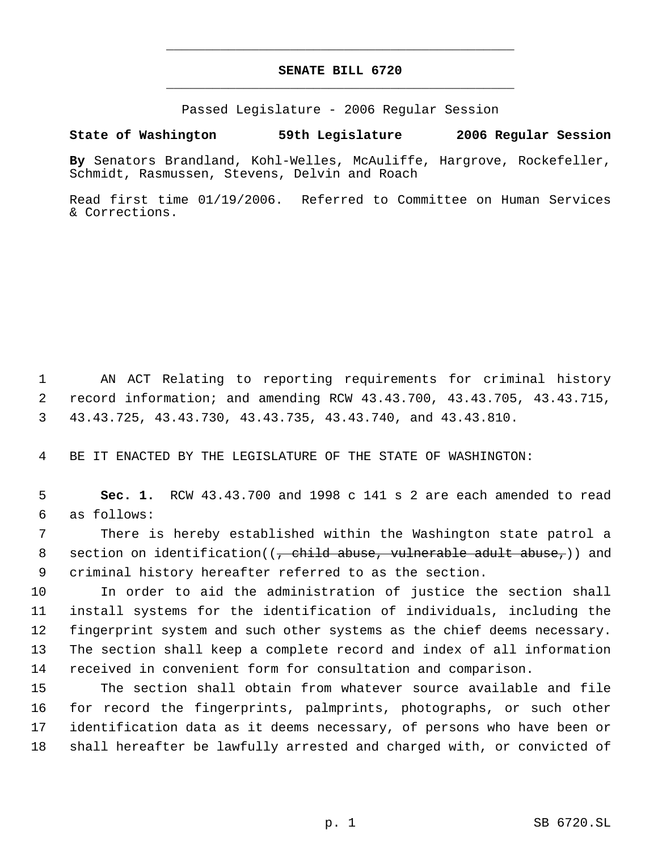## **SENATE BILL 6720** \_\_\_\_\_\_\_\_\_\_\_\_\_\_\_\_\_\_\_\_\_\_\_\_\_\_\_\_\_\_\_\_\_\_\_\_\_\_\_\_\_\_\_\_\_

\_\_\_\_\_\_\_\_\_\_\_\_\_\_\_\_\_\_\_\_\_\_\_\_\_\_\_\_\_\_\_\_\_\_\_\_\_\_\_\_\_\_\_\_\_

Passed Legislature - 2006 Regular Session

## **State of Washington 59th Legislature 2006 Regular Session**

**By** Senators Brandland, Kohl-Welles, McAuliffe, Hargrove, Rockefeller, Schmidt, Rasmussen, Stevens, Delvin and Roach

Read first time 01/19/2006. Referred to Committee on Human Services & Corrections.

 AN ACT Relating to reporting requirements for criminal history record information; and amending RCW 43.43.700, 43.43.705, 43.43.715, 43.43.725, 43.43.730, 43.43.735, 43.43.740, and 43.43.810.

BE IT ENACTED BY THE LEGISLATURE OF THE STATE OF WASHINGTON:

 **Sec. 1.** RCW 43.43.700 and 1998 c 141 s 2 are each amended to read as follows:

 There is hereby established within the Washington state patrol a 8 section on identification( $\left( \frac{1}{2} \right)$  abuse, vulnerable adult abuse,)) and criminal history hereafter referred to as the section.

 In order to aid the administration of justice the section shall install systems for the identification of individuals, including the fingerprint system and such other systems as the chief deems necessary. The section shall keep a complete record and index of all information received in convenient form for consultation and comparison.

 The section shall obtain from whatever source available and file for record the fingerprints, palmprints, photographs, or such other identification data as it deems necessary, of persons who have been or shall hereafter be lawfully arrested and charged with, or convicted of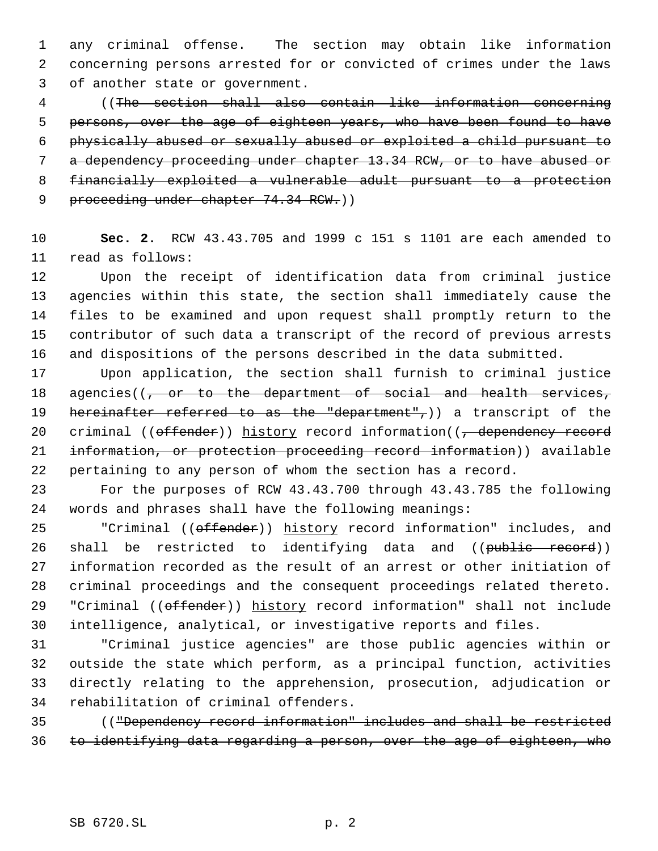any criminal offense. The section may obtain like information concerning persons arrested for or convicted of crimes under the laws of another state or government.

 ((The section shall also contain like information concerning persons, over the age of eighteen years, who have been found to have physically abused or sexually abused or exploited a child pursuant to a dependency proceeding under chapter 13.34 RCW, or to have abused or financially exploited a vulnerable adult pursuant to a protection 9 proceeding under chapter 74.34 RCW.))

 **Sec. 2.** RCW 43.43.705 and 1999 c 151 s 1101 are each amended to read as follows:

 Upon the receipt of identification data from criminal justice agencies within this state, the section shall immediately cause the files to be examined and upon request shall promptly return to the contributor of such data a transcript of the record of previous arrests and dispositions of the persons described in the data submitted.

 Upon application, the section shall furnish to criminal justice 18 agencies((<del>, or to the department of social and health services,</del> 19 hereinafter referred to as the "department",)) a transcript of the 20 criminal ((offender)) history record information((, dependency record information, or protection proceeding record information)) available pertaining to any person of whom the section has a record.

 For the purposes of RCW 43.43.700 through 43.43.785 the following words and phrases shall have the following meanings:

25 "Criminal ((offender)) history record information" includes, and 26 shall be restricted to identifying data and ((public record)) information recorded as the result of an arrest or other initiation of criminal proceedings and the consequent proceedings related thereto. 29 "Criminal ((offender)) history record information" shall not include intelligence, analytical, or investigative reports and files.

 "Criminal justice agencies" are those public agencies within or outside the state which perform, as a principal function, activities directly relating to the apprehension, prosecution, adjudication or rehabilitation of criminal offenders.

 (("Dependency record information" includes and shall be restricted to identifying data regarding a person, over the age of eighteen, who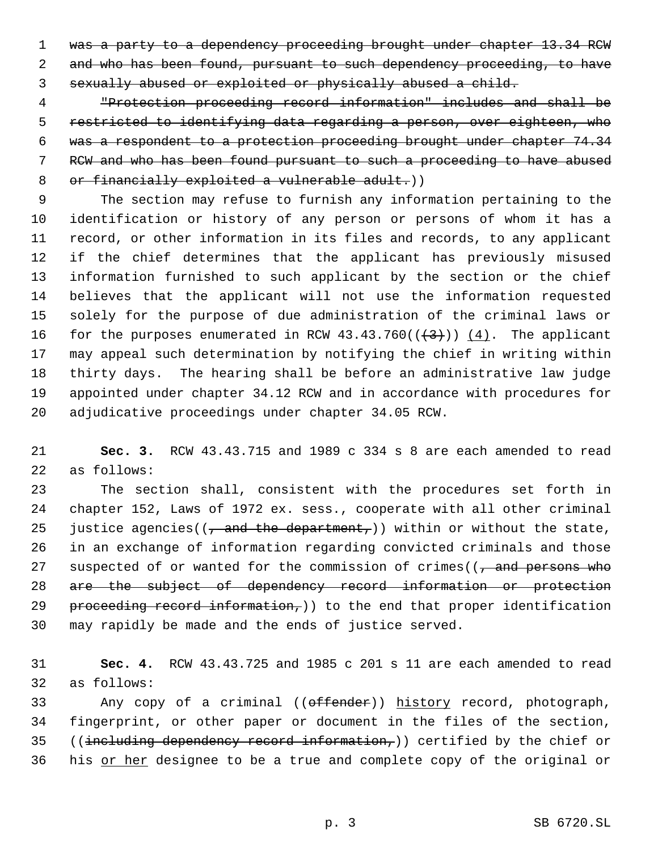1 was a party to a dependency proceeding brought under chapter 13.34 RCW 2 and who has been found, pursuant to such dependency proceeding, to have sexually abused or exploited or physically abused a child.

 "Protection proceeding record information" includes and shall be restricted to identifying data regarding a person, over eighteen, who was a respondent to a protection proceeding brought under chapter 74.34 RCW and who has been found pursuant to such a proceeding to have abused 8 or financially exploited a vulnerable adult.))

 The section may refuse to furnish any information pertaining to the identification or history of any person or persons of whom it has a record, or other information in its files and records, to any applicant if the chief determines that the applicant has previously misused information furnished to such applicant by the section or the chief believes that the applicant will not use the information requested solely for the purpose of due administration of the criminal laws or 16 for the purposes enumerated in RCW  $43.43.760((\frac{4}{3})) (4)$ . The applicant may appeal such determination by notifying the chief in writing within thirty days. The hearing shall be before an administrative law judge appointed under chapter 34.12 RCW and in accordance with procedures for adjudicative proceedings under chapter 34.05 RCW.

 **Sec. 3.** RCW 43.43.715 and 1989 c 334 s 8 are each amended to read as follows:

 The section shall, consistent with the procedures set forth in chapter 152, Laws of 1972 ex. sess., cooperate with all other criminal 25 justice agencies( $\left(\frac{1}{2}, \frac{1}{2} \right)$  ) within or without the state, in an exchange of information regarding convicted criminals and those 27 suspected of or wanted for the commission of crimes( $(7,$  and persons who are the subject of dependency record information or protection 29 proceeding record information,) to the end that proper identification may rapidly be made and the ends of justice served.

 **Sec. 4.** RCW 43.43.725 and 1985 c 201 s 11 are each amended to read as follows:

33 Any copy of a criminal ((offender)) history record, photograph, fingerprint, or other paper or document in the files of the section, 35 ((including dependency record information,)) certified by the chief or 36 his or her designee to be a true and complete copy of the original or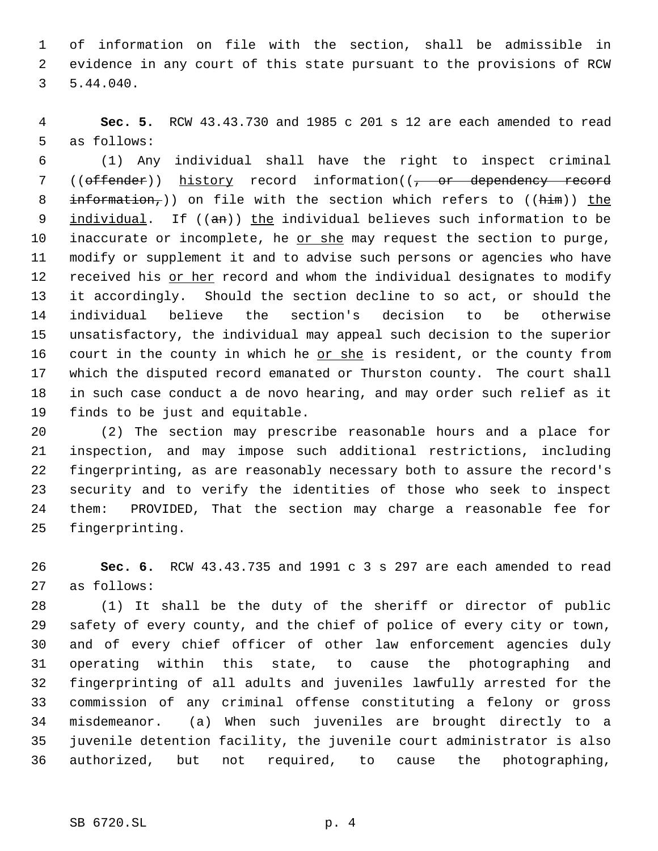of information on file with the section, shall be admissible in evidence in any court of this state pursuant to the provisions of RCW 5.44.040.

 **Sec. 5.** RCW 43.43.730 and 1985 c 201 s 12 are each amended to read as follows:

 (1) Any individual shall have the right to inspect criminal 7 ((offender)) history record information((<del>, or dependency record</del> 8 information,)) on file with the section which refers to  $(\hbox{him})$ ) the 9 individual. If  $((an))$  the individual believes such information to be 10 inaccurate or incomplete, he or she may request the section to purge, modify or supplement it and to advise such persons or agencies who have 12 received his or her record and whom the individual designates to modify it accordingly. Should the section decline to so act, or should the individual believe the section's decision to be otherwise unsatisfactory, the individual may appeal such decision to the superior 16 court in the county in which he or she is resident, or the county from which the disputed record emanated or Thurston county. The court shall in such case conduct a de novo hearing, and may order such relief as it finds to be just and equitable.

 (2) The section may prescribe reasonable hours and a place for inspection, and may impose such additional restrictions, including fingerprinting, as are reasonably necessary both to assure the record's security and to verify the identities of those who seek to inspect them: PROVIDED, That the section may charge a reasonable fee for fingerprinting.

 **Sec. 6.** RCW 43.43.735 and 1991 c 3 s 297 are each amended to read as follows:

 (1) It shall be the duty of the sheriff or director of public safety of every county, and the chief of police of every city or town, and of every chief officer of other law enforcement agencies duly operating within this state, to cause the photographing and fingerprinting of all adults and juveniles lawfully arrested for the commission of any criminal offense constituting a felony or gross misdemeanor. (a) When such juveniles are brought directly to a juvenile detention facility, the juvenile court administrator is also authorized, but not required, to cause the photographing,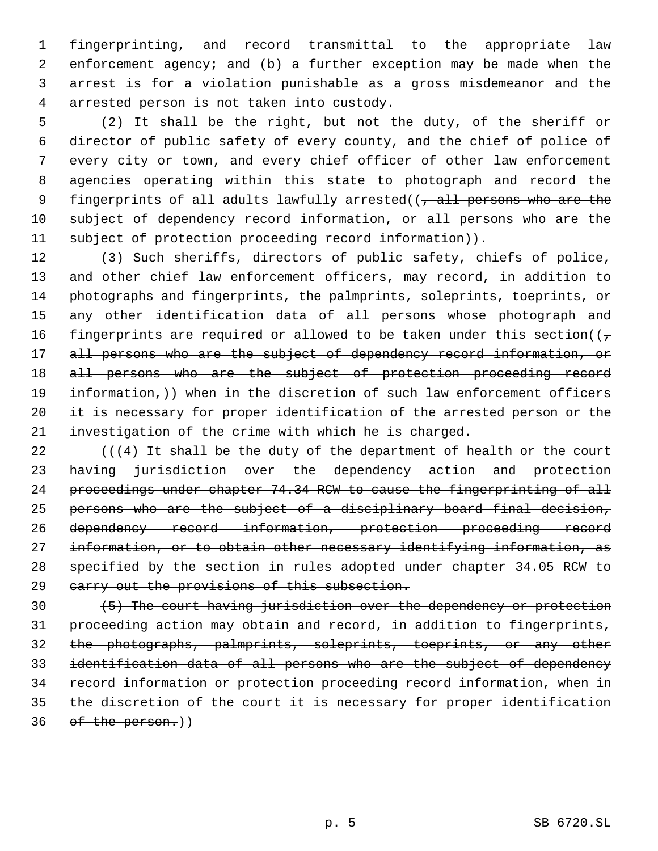fingerprinting, and record transmittal to the appropriate law enforcement agency; and (b) a further exception may be made when the arrest is for a violation punishable as a gross misdemeanor and the arrested person is not taken into custody.

 (2) It shall be the right, but not the duty, of the sheriff or director of public safety of every county, and the chief of police of every city or town, and every chief officer of other law enforcement agencies operating within this state to photograph and record the 9 fingerprints of all adults lawfully arrested((, all persons who are the 10 subject of dependency record information, or all persons who are the 11 subject of protection proceeding record information)).

 (3) Such sheriffs, directors of public safety, chiefs of police, and other chief law enforcement officers, may record, in addition to photographs and fingerprints, the palmprints, soleprints, toeprints, or any other identification data of all persons whose photograph and 16 fingerprints are required or allowed to be taken under this section( $(\tau$ 17 all persons who are the subject of dependency record information, or 18 all persons who are the subject of protection proceeding record 19 information,)) when in the discretion of such law enforcement officers it is necessary for proper identification of the arrested person or the investigation of the crime with which he is charged.

 $($   $($   $($   $\frac{4}{1}$  It shall be the duty of the department of health or the court having jurisdiction over the dependency action and protection 24 proceedings under chapter 74.34 RCW to cause the fingerprinting of all persons who are the subject of a disciplinary board final decision, 26 dependency record information, protection proceeding record information, or to obtain other necessary identifying information, as specified by the section in rules adopted under chapter 34.05 RCW to 29 carry out the provisions of this subsection.

 (5) The court having jurisdiction over the dependency or protection proceeding action may obtain and record, in addition to fingerprints, the photographs, palmprints, soleprints, toeprints, or any other identification data of all persons who are the subject of dependency record information or protection proceeding record information, when in the discretion of the court it is necessary for proper identification of the person.))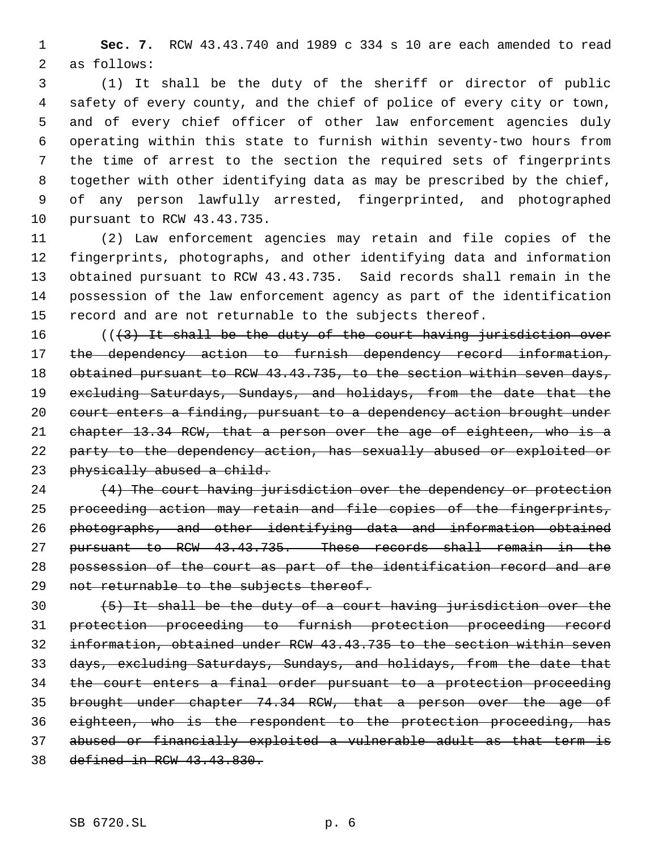**Sec. 7.** RCW 43.43.740 and 1989 c 334 s 10 are each amended to read as follows:

 (1) It shall be the duty of the sheriff or director of public safety of every county, and the chief of police of every city or town, and of every chief officer of other law enforcement agencies duly operating within this state to furnish within seventy-two hours from the time of arrest to the section the required sets of fingerprints together with other identifying data as may be prescribed by the chief, of any person lawfully arrested, fingerprinted, and photographed pursuant to RCW 43.43.735.

 (2) Law enforcement agencies may retain and file copies of the fingerprints, photographs, and other identifying data and information obtained pursuant to RCW 43.43.735. Said records shall remain in the possession of the law enforcement agency as part of the identification record and are not returnable to the subjects thereof.

 $((3)$  It shall be the duty of the court having jurisdiction over 17 the dependency action to furnish dependency record information, 18 obtained pursuant to RCW 43.43.735, to the section within seven days, excluding Saturdays, Sundays, and holidays, from the date that the 20 court enters a finding, pursuant to a dependency action brought under chapter 13.34 RCW, that a person over the age of eighteen, who is a 22 party to the dependency action, has sexually abused or exploited or 23 physically abused a child.

  $(4)$  The court having jurisdiction over the dependency or protection proceeding action may retain and file copies of the fingerprints, photographs, and other identifying data and information obtained pursuant to RCW 43.43.735. These records shall remain in the possession of the court as part of the identification record and are 29 not returnable to the subjects thereof.

 $(5)$  It shall be the duty of a court having jurisdiction over the protection proceeding to furnish protection proceeding record information, obtained under RCW 43.43.735 to the section within seven days, excluding Saturdays, Sundays, and holidays, from the date that the court enters a final order pursuant to a protection proceeding brought under chapter 74.34 RCW, that a person over the age of eighteen, who is the respondent to the protection proceeding, has abused or financially exploited a vulnerable adult as that term is defined in RCW 43.43.830.